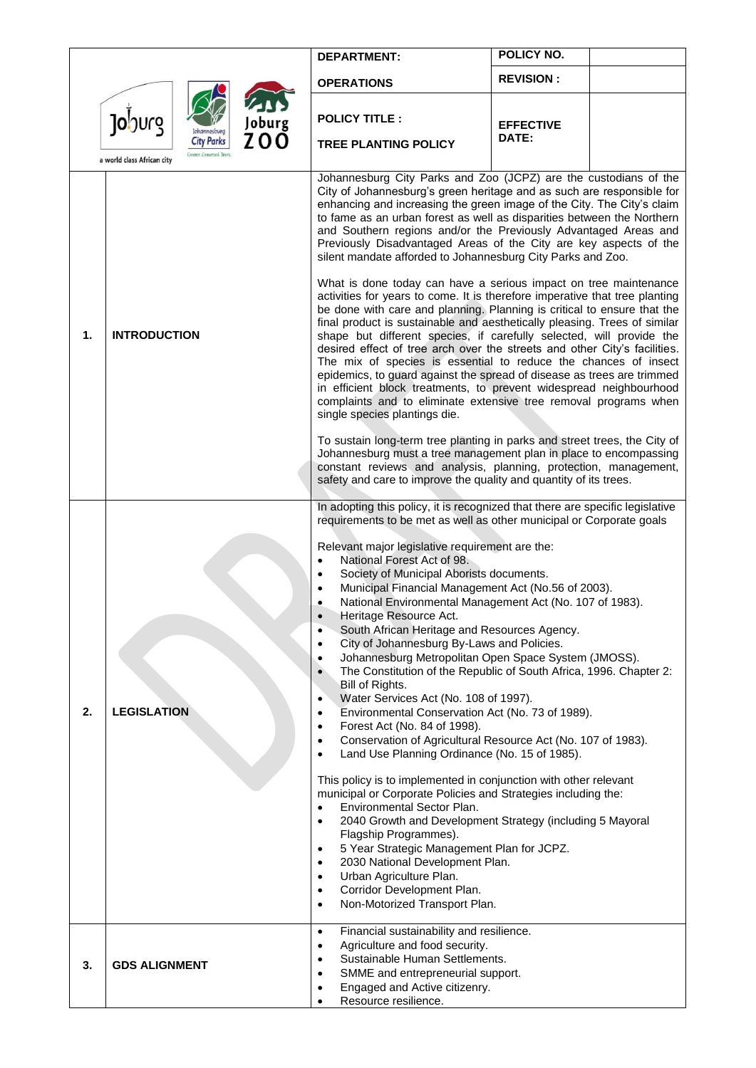|    |                                                 | <b>DEPARTMENT:</b>                                                                                                                                                                                                                                                                                                                                                                                                                                                                                                                                                                                                                                                                                                                                                                                                                                                                                                                                                                                                                                                                                                                                                                                                                                                                                                                                                                                                                                                                                                                                                  | POLICY NO.       |  |
|----|-------------------------------------------------|---------------------------------------------------------------------------------------------------------------------------------------------------------------------------------------------------------------------------------------------------------------------------------------------------------------------------------------------------------------------------------------------------------------------------------------------------------------------------------------------------------------------------------------------------------------------------------------------------------------------------------------------------------------------------------------------------------------------------------------------------------------------------------------------------------------------------------------------------------------------------------------------------------------------------------------------------------------------------------------------------------------------------------------------------------------------------------------------------------------------------------------------------------------------------------------------------------------------------------------------------------------------------------------------------------------------------------------------------------------------------------------------------------------------------------------------------------------------------------------------------------------------------------------------------------------------|------------------|--|
|    |                                                 | <b>OPERATIONS</b>                                                                                                                                                                                                                                                                                                                                                                                                                                                                                                                                                                                                                                                                                                                                                                                                                                                                                                                                                                                                                                                                                                                                                                                                                                                                                                                                                                                                                                                                                                                                                   | <b>REVISION:</b> |  |
|    | Joburg<br>Joburg<br><b>ZOO</b><br>ohannesburg   | <b>POLICY TITLE:</b>                                                                                                                                                                                                                                                                                                                                                                                                                                                                                                                                                                                                                                                                                                                                                                                                                                                                                                                                                                                                                                                                                                                                                                                                                                                                                                                                                                                                                                                                                                                                                | <b>EFFECTIVE</b> |  |
|    | <b>City Parks</b><br>a world class African city | <b>TREE PLANTING POLICY</b>                                                                                                                                                                                                                                                                                                                                                                                                                                                                                                                                                                                                                                                                                                                                                                                                                                                                                                                                                                                                                                                                                                                                                                                                                                                                                                                                                                                                                                                                                                                                         | DATE:            |  |
| 1. | <b>INTRODUCTION</b>                             | Johannesburg City Parks and Zoo (JCPZ) are the custodians of the<br>City of Johannesburg's green heritage and as such are responsible for<br>enhancing and increasing the green image of the City. The City's claim<br>to fame as an urban forest as well as disparities between the Northern<br>and Southern regions and/or the Previously Advantaged Areas and<br>Previously Disadvantaged Areas of the City are key aspects of the<br>silent mandate afforded to Johannesburg City Parks and Zoo.<br>What is done today can have a serious impact on tree maintenance<br>activities for years to come. It is therefore imperative that tree planting<br>be done with care and planning. Planning is critical to ensure that the<br>final product is sustainable and aesthetically pleasing. Trees of similar<br>shape but different species, if carefully selected, will provide the<br>desired effect of tree arch over the streets and other City's facilities.<br>The mix of species is essential to reduce the chances of insect<br>epidemics, to guard against the spread of disease as trees are trimmed<br>in efficient block treatments, to prevent widespread neighbourhood<br>complaints and to eliminate extensive tree removal programs when<br>single species plantings die.                                                                                                                                                                                                                                                                        |                  |  |
|    |                                                 | To sustain long-term tree planting in parks and street trees, the City of<br>Johannesburg must a tree management plan in place to encompassing<br>constant reviews and analysis, planning, protection, management,<br>safety and care to improve the quality and quantity of its trees.                                                                                                                                                                                                                                                                                                                                                                                                                                                                                                                                                                                                                                                                                                                                                                                                                                                                                                                                                                                                                                                                                                                                                                                                                                                                             |                  |  |
| 2. | <b>LEGISLATION</b>                              | In adopting this policy, it is recognized that there are specific legislative<br>requirements to be met as well as other municipal or Corporate goals<br>Relevant major legislative requirement are the:<br>National Forest Act of 98.<br>$\bullet$<br>Society of Municipal Aborists documents.<br>$\bullet$<br>Municipal Financial Management Act (No.56 of 2003).<br>National Environmental Management Act (No. 107 of 1983).<br>Heritage Resource Act.<br>South African Heritage and Resources Agency.<br>$\bullet$<br>City of Johannesburg By-Laws and Policies.<br>$\bullet$<br>Johannesburg Metropolitan Open Space System (JMOSS).<br>$\bullet$<br>The Constitution of the Republic of South Africa, 1996. Chapter 2:<br>$\bullet$<br>Bill of Rights.<br>Water Services Act (No. 108 of 1997).<br>Environmental Conservation Act (No. 73 of 1989).<br>$\bullet$<br>Forest Act (No. 84 of 1998).<br>$\bullet$<br>Conservation of Agricultural Resource Act (No. 107 of 1983).<br>$\bullet$<br>Land Use Planning Ordinance (No. 15 of 1985).<br>$\bullet$<br>This policy is to implemented in conjunction with other relevant<br>municipal or Corporate Policies and Strategies including the:<br>Environmental Sector Plan.<br>2040 Growth and Development Strategy (including 5 Mayoral<br>Flagship Programmes).<br>5 Year Strategic Management Plan for JCPZ.<br>$\bullet$<br>2030 National Development Plan.<br>$\bullet$<br>Urban Agriculture Plan.<br>$\bullet$<br>Corridor Development Plan.<br>$\bullet$<br>Non-Motorized Transport Plan.<br>$\bullet$ |                  |  |
| 3. | <b>GDS ALIGNMENT</b>                            | Financial sustainability and resilience.<br>$\bullet$<br>Agriculture and food security.<br>$\bullet$<br>Sustainable Human Settlements.<br>٠<br>SMME and entrepreneurial support.<br>Engaged and Active citizenry.<br>Resource resilience.                                                                                                                                                                                                                                                                                                                                                                                                                                                                                                                                                                                                                                                                                                                                                                                                                                                                                                                                                                                                                                                                                                                                                                                                                                                                                                                           |                  |  |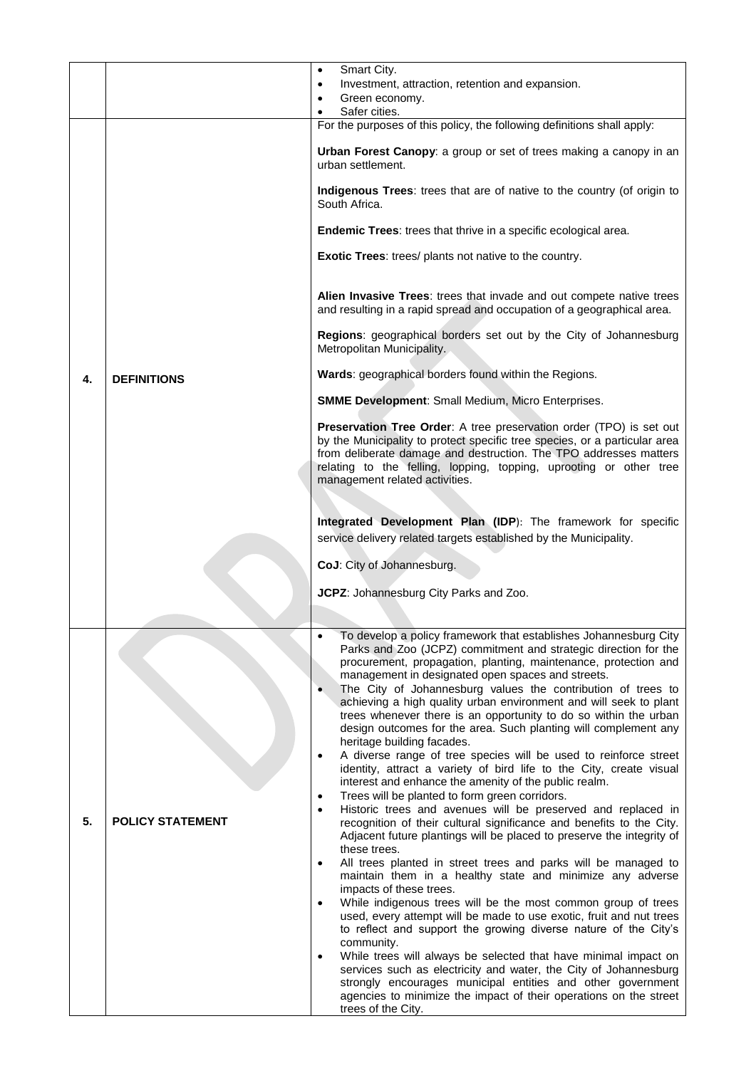|    |                         | Smart City.<br>$\bullet$                                                                                                                                                                                                                                                                                                                                                                                                                                                          |
|----|-------------------------|-----------------------------------------------------------------------------------------------------------------------------------------------------------------------------------------------------------------------------------------------------------------------------------------------------------------------------------------------------------------------------------------------------------------------------------------------------------------------------------|
|    |                         | Investment, attraction, retention and expansion.<br>$\bullet$                                                                                                                                                                                                                                                                                                                                                                                                                     |
|    |                         | Green economy.                                                                                                                                                                                                                                                                                                                                                                                                                                                                    |
|    |                         | Safer cities.                                                                                                                                                                                                                                                                                                                                                                                                                                                                     |
|    |                         | For the purposes of this policy, the following definitions shall apply:                                                                                                                                                                                                                                                                                                                                                                                                           |
|    |                         | Urban Forest Canopy: a group or set of trees making a canopy in an<br>urban settlement.                                                                                                                                                                                                                                                                                                                                                                                           |
|    |                         | Indigenous Trees: trees that are of native to the country (of origin to<br>South Africa.                                                                                                                                                                                                                                                                                                                                                                                          |
|    |                         | Endemic Trees: trees that thrive in a specific ecological area.                                                                                                                                                                                                                                                                                                                                                                                                                   |
|    |                         | Exotic Trees: trees/ plants not native to the country.                                                                                                                                                                                                                                                                                                                                                                                                                            |
|    |                         | Alien Invasive Trees: trees that invade and out compete native trees<br>and resulting in a rapid spread and occupation of a geographical area.                                                                                                                                                                                                                                                                                                                                    |
|    |                         | Regions: geographical borders set out by the City of Johannesburg<br>Metropolitan Municipality.                                                                                                                                                                                                                                                                                                                                                                                   |
| 4. | <b>DEFINITIONS</b>      | Wards: geographical borders found within the Regions.                                                                                                                                                                                                                                                                                                                                                                                                                             |
|    |                         | <b>SMME Development: Small Medium, Micro Enterprises.</b>                                                                                                                                                                                                                                                                                                                                                                                                                         |
|    |                         | Preservation Tree Order: A tree preservation order (TPO) is set out<br>by the Municipality to protect specific tree species, or a particular area<br>from deliberate damage and destruction. The TPO addresses matters<br>relating to the felling, lopping, topping, uprooting or other tree<br>management related activities.                                                                                                                                                    |
|    |                         |                                                                                                                                                                                                                                                                                                                                                                                                                                                                                   |
|    |                         | Integrated Development Plan (IDP): The framework for specific<br>service delivery related targets established by the Municipality.                                                                                                                                                                                                                                                                                                                                                |
|    |                         | CoJ: City of Johannesburg.                                                                                                                                                                                                                                                                                                                                                                                                                                                        |
|    |                         |                                                                                                                                                                                                                                                                                                                                                                                                                                                                                   |
|    |                         | JCPZ: Johannesburg City Parks and Zoo.                                                                                                                                                                                                                                                                                                                                                                                                                                            |
|    |                         |                                                                                                                                                                                                                                                                                                                                                                                                                                                                                   |
|    |                         | To develop a policy framework that establishes Johannesburg City<br>Parks and Zoo (JCPZ) commitment and strategic direction for the<br>procurement, propagation, planting, maintenance, protection and<br>management in designated open spaces and streets.<br>The City of Johannesburg values the contribution of trees to<br>$\bullet$<br>achieving a high quality urban environment and will seek to plant<br>trees whenever there is an opportunity to do so within the urban |
|    | <b>POLICY STATEMENT</b> | design outcomes for the area. Such planting will complement any<br>heritage building facades.<br>A diverse range of tree species will be used to reinforce street<br>$\bullet$                                                                                                                                                                                                                                                                                                    |
|    |                         | identity, attract a variety of bird life to the City, create visual<br>interest and enhance the amenity of the public realm.                                                                                                                                                                                                                                                                                                                                                      |
| 5. |                         | Trees will be planted to form green corridors.<br>$\bullet$<br>Historic trees and avenues will be preserved and replaced in<br>$\bullet$<br>recognition of their cultural significance and benefits to the City.<br>Adjacent future plantings will be placed to preserve the integrity of                                                                                                                                                                                         |
|    |                         | these trees.<br>All trees planted in street trees and parks will be managed to                                                                                                                                                                                                                                                                                                                                                                                                    |
|    |                         | maintain them in a healthy state and minimize any adverse<br>impacts of these trees.                                                                                                                                                                                                                                                                                                                                                                                              |
|    |                         | While indigenous trees will be the most common group of trees<br>used, every attempt will be made to use exotic, fruit and nut trees<br>to reflect and support the growing diverse nature of the City's                                                                                                                                                                                                                                                                           |
|    |                         | community.                                                                                                                                                                                                                                                                                                                                                                                                                                                                        |
|    |                         | While trees will always be selected that have minimal impact on<br>services such as electricity and water, the City of Johannesburg<br>strongly encourages municipal entities and other government                                                                                                                                                                                                                                                                                |
|    |                         | agencies to minimize the impact of their operations on the street<br>trees of the City.                                                                                                                                                                                                                                                                                                                                                                                           |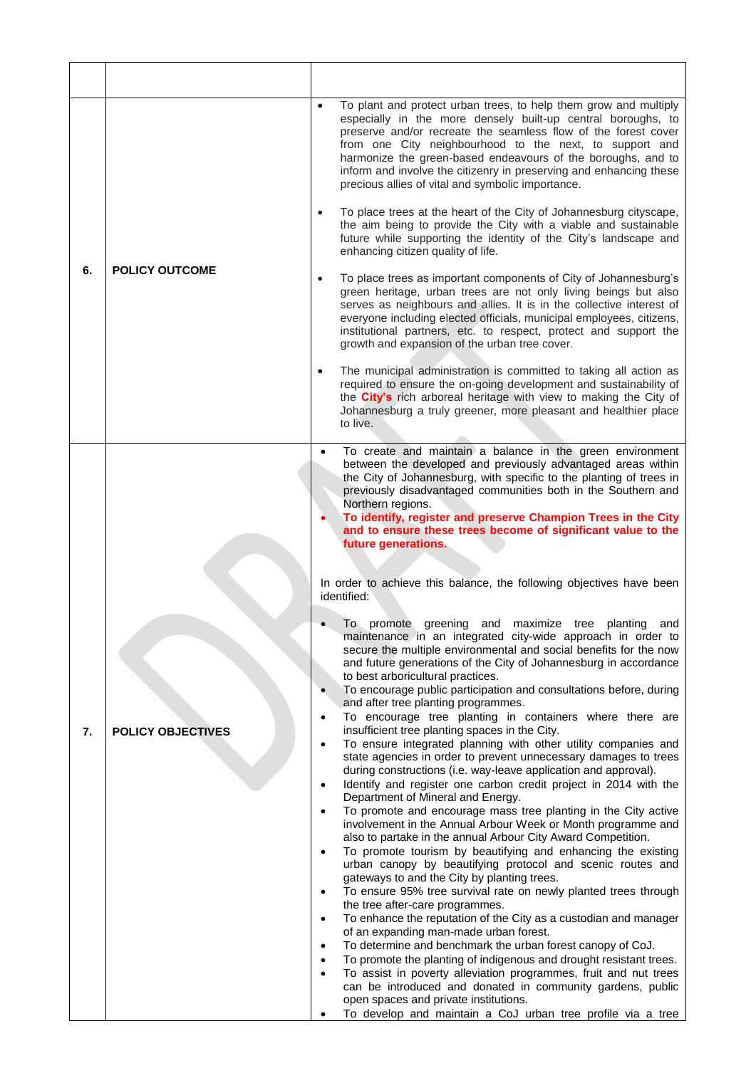| 6. | <b>POLICY OUTCOME</b>                                                                                                                         | To plant and protect urban trees, to help them grow and multiply<br>$\bullet$<br>especially in the more densely built-up central boroughs, to<br>preserve and/or recreate the seamless flow of the forest cover<br>from one City neighbourhood to the next, to support and<br>harmonize the green-based endeavours of the boroughs, and to<br>inform and involve the citizenry in preserving and enhancing these<br>precious allies of vital and symbolic importance. |
|----|-----------------------------------------------------------------------------------------------------------------------------------------------|-----------------------------------------------------------------------------------------------------------------------------------------------------------------------------------------------------------------------------------------------------------------------------------------------------------------------------------------------------------------------------------------------------------------------------------------------------------------------|
|    |                                                                                                                                               | To place trees at the heart of the City of Johannesburg cityscape,<br>the aim being to provide the City with a viable and sustainable<br>future while supporting the identity of the City's landscape and<br>enhancing citizen quality of life.                                                                                                                                                                                                                       |
|    |                                                                                                                                               | To place trees as important components of City of Johannesburg's<br>green heritage, urban trees are not only living beings but also<br>serves as neighbours and allies. It is in the collective interest of<br>everyone including elected officials, municipal employees, citizens,<br>institutional partners, etc. to respect, protect and support the<br>growth and expansion of the urban tree cover.                                                              |
|    |                                                                                                                                               | The municipal administration is committed to taking all action as<br>$\bullet$<br>required to ensure the on-going development and sustainability of<br>the <b>City's</b> rich arboreal heritage with view to making the City of<br>Johannesburg a truly greener, more pleasant and healthier place<br>to live.                                                                                                                                                        |
|    | $\bullet$<br>$\bullet$<br>$\bullet$<br><b>POLICY OBJECTIVES</b><br>$\bullet$<br>$\bullet$<br>$\bullet$<br>$\bullet$<br>$\bullet$<br>$\bullet$ | To create and maintain a balance in the green environment<br>between the developed and previously advantaged areas within<br>the City of Johannesburg, with specific to the planting of trees in<br>previously disadvantaged communities both in the Southern and<br>Northern regions.<br>To identify, register and preserve Champion Trees in the City<br>and to ensure these trees become of significant value to the                                               |
|    |                                                                                                                                               | future generations.<br>In order to achieve this balance, the following objectives have been<br>identified:                                                                                                                                                                                                                                                                                                                                                            |
|    |                                                                                                                                               | To promote greening<br>planting<br>and<br>maximize tree<br>and<br>maintenance in an integrated city-wide approach in order to<br>secure the multiple environmental and social benefits for the now<br>and future generations of the City of Johannesburg in accordance<br>to best arboricultural practices.                                                                                                                                                           |
|    |                                                                                                                                               | To encourage public participation and consultations before, during<br>and after tree planting programmes.                                                                                                                                                                                                                                                                                                                                                             |
| 7. |                                                                                                                                               | To encourage tree planting in containers where there are<br>insufficient tree planting spaces in the City.<br>To ensure integrated planning with other utility companies and<br>state agencies in order to prevent unnecessary damages to trees<br>during constructions (i.e. way-leave application and approval).<br>Identify and register one carbon credit project in 2014 with the<br>Department of Mineral and Energy.                                           |
|    |                                                                                                                                               | To promote and encourage mass tree planting in the City active<br>involvement in the Annual Arbour Week or Month programme and<br>also to partake in the annual Arbour City Award Competition.<br>To promote tourism by beautifying and enhancing the existing<br>urban canopy by beautifying protocol and scenic routes and                                                                                                                                          |
|    |                                                                                                                                               | gateways to and the City by planting trees.<br>To ensure 95% tree survival rate on newly planted trees through                                                                                                                                                                                                                                                                                                                                                        |
|    |                                                                                                                                               | the tree after-care programmes.<br>To enhance the reputation of the City as a custodian and manager                                                                                                                                                                                                                                                                                                                                                                   |
|    |                                                                                                                                               | of an expanding man-made urban forest.<br>To determine and benchmark the urban forest canopy of CoJ.                                                                                                                                                                                                                                                                                                                                                                  |
|    |                                                                                                                                               | To promote the planting of indigenous and drought resistant trees.<br>To assist in poverty alleviation programmes, fruit and nut trees                                                                                                                                                                                                                                                                                                                                |
|    |                                                                                                                                               | can be introduced and donated in community gardens, public<br>open spaces and private institutions.                                                                                                                                                                                                                                                                                                                                                                   |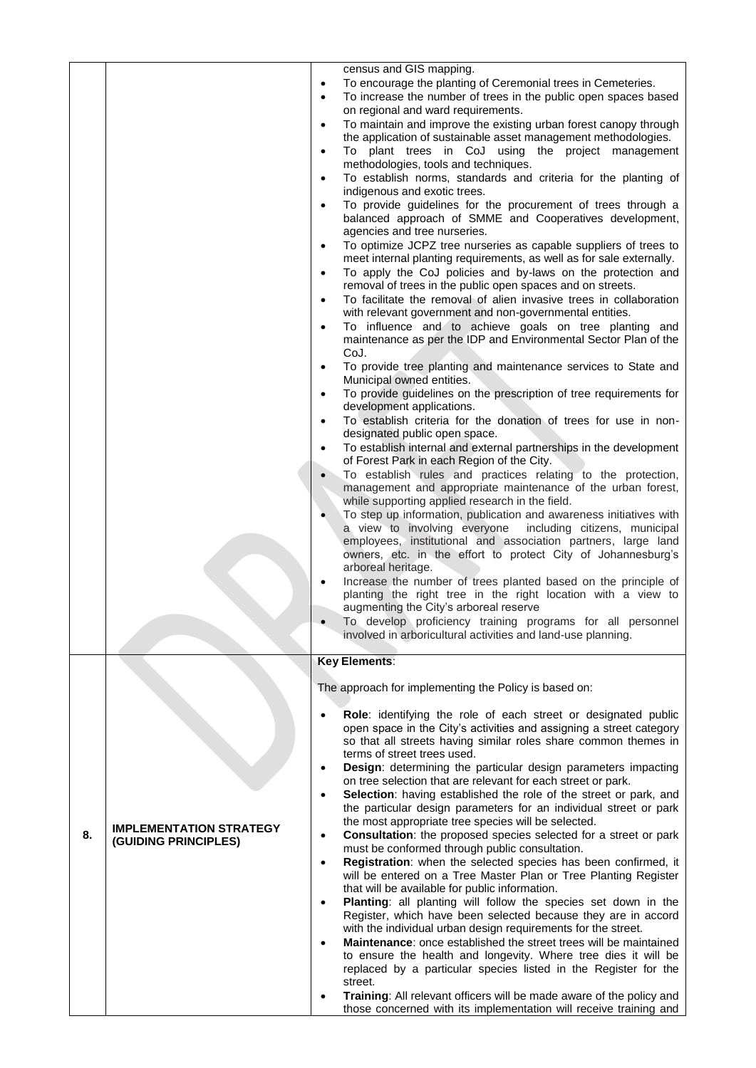|    |                                                        | census and GIS mapping.<br>To encourage the planting of Ceremonial trees in Cemeteries.<br>$\bullet$<br>To increase the number of trees in the public open spaces based<br>on regional and ward requirements.<br>To maintain and improve the existing urban forest canopy through<br>$\bullet$<br>the application of sustainable asset management methodologies.<br>To plant trees in CoJ using the project management<br>$\bullet$<br>methodologies, tools and techniques.<br>To establish norms, standards and criteria for the planting of<br>$\bullet$<br>indigenous and exotic trees.<br>To provide guidelines for the procurement of trees through a<br>$\bullet$<br>balanced approach of SMME and Cooperatives development,<br>agencies and tree nurseries.<br>To optimize JCPZ tree nurseries as capable suppliers of trees to<br>$\bullet$<br>meet internal planting requirements, as well as for sale externally.<br>To apply the CoJ policies and by-laws on the protection and<br>$\bullet$<br>removal of trees in the public open spaces and on streets.<br>To facilitate the removal of alien invasive trees in collaboration<br>$\bullet$<br>with relevant government and non-governmental entities.<br>To influence and to achieve goals on tree planting and<br>$\bullet$<br>maintenance as per the IDP and Environmental Sector Plan of the<br>CoJ.<br>To provide tree planting and maintenance services to State and<br>$\bullet$<br>Municipal owned entities.<br>To provide guidelines on the prescription of tree requirements for<br>development applications.<br>To establish criteria for the donation of trees for use in non-<br>$\bullet$<br>designated public open space.<br>To establish internal and external partnerships in the development<br>of Forest Park in each Region of the City.<br>To establish rules and practices relating to the protection,<br>management and appropriate maintenance of the urban forest,<br>while supporting applied research in the field.<br>To step up information, publication and awareness initiatives with<br>a view to involving everyone<br>including citizens, municipal<br>employees, institutional and association partners, large land<br>owners, etc. in the effort to protect City of Johannesburg's<br>arboreal heritage.<br>Increase the number of trees planted based on the principle of<br>planting the right tree in the right location with a view to<br>augmenting the City's arboreal reserve |
|----|--------------------------------------------------------|---------------------------------------------------------------------------------------------------------------------------------------------------------------------------------------------------------------------------------------------------------------------------------------------------------------------------------------------------------------------------------------------------------------------------------------------------------------------------------------------------------------------------------------------------------------------------------------------------------------------------------------------------------------------------------------------------------------------------------------------------------------------------------------------------------------------------------------------------------------------------------------------------------------------------------------------------------------------------------------------------------------------------------------------------------------------------------------------------------------------------------------------------------------------------------------------------------------------------------------------------------------------------------------------------------------------------------------------------------------------------------------------------------------------------------------------------------------------------------------------------------------------------------------------------------------------------------------------------------------------------------------------------------------------------------------------------------------------------------------------------------------------------------------------------------------------------------------------------------------------------------------------------------------------------------------------------------------------------------------------------------------------------------------------------------------------------------------------------------------------------------------------------------------------------------------------------------------------------------------------------------------------------------------------------------------------------------------------------------------------------------------------------------------------------------------------------------------------------------------|
|    |                                                        | To develop proficiency training programs for all personnel                                                                                                                                                                                                                                                                                                                                                                                                                                                                                                                                                                                                                                                                                                                                                                                                                                                                                                                                                                                                                                                                                                                                                                                                                                                                                                                                                                                                                                                                                                                                                                                                                                                                                                                                                                                                                                                                                                                                                                                                                                                                                                                                                                                                                                                                                                                                                                                                                            |
|    |                                                        | involved in arboricultural activities and land-use planning.                                                                                                                                                                                                                                                                                                                                                                                                                                                                                                                                                                                                                                                                                                                                                                                                                                                                                                                                                                                                                                                                                                                                                                                                                                                                                                                                                                                                                                                                                                                                                                                                                                                                                                                                                                                                                                                                                                                                                                                                                                                                                                                                                                                                                                                                                                                                                                                                                          |
|    |                                                        | <b>Key Elements:</b><br>The approach for implementing the Policy is based on:                                                                                                                                                                                                                                                                                                                                                                                                                                                                                                                                                                                                                                                                                                                                                                                                                                                                                                                                                                                                                                                                                                                                                                                                                                                                                                                                                                                                                                                                                                                                                                                                                                                                                                                                                                                                                                                                                                                                                                                                                                                                                                                                                                                                                                                                                                                                                                                                         |
| 8. | <b>IMPLEMENTATION STRATEGY</b><br>(GUIDING PRINCIPLES) | Role: identifying the role of each street or designated public<br>open space in the City's activities and assigning a street category<br>so that all streets having similar roles share common themes in<br>terms of street trees used.<br>Design: determining the particular design parameters impacting<br>$\bullet$<br>on tree selection that are relevant for each street or park.<br>Selection: having established the role of the street or park, and<br>$\bullet$<br>the particular design parameters for an individual street or park<br>the most appropriate tree species will be selected.<br><b>Consultation:</b> the proposed species selected for a street or park<br>$\bullet$<br>must be conformed through public consultation.<br>Registration: when the selected species has been confirmed, it<br>$\bullet$<br>will be entered on a Tree Master Plan or Tree Planting Register<br>that will be available for public information.<br>Planting: all planting will follow the species set down in the<br>Register, which have been selected because they are in accord<br>with the individual urban design requirements for the street.<br>Maintenance: once established the street trees will be maintained<br>to ensure the health and longevity. Where tree dies it will be<br>replaced by a particular species listed in the Register for the<br>street.<br>Training: All relevant officers will be made aware of the policy and<br>those concerned with its implementation will receive training and                                                                                                                                                                                                                                                                                                                                                                                                                                                                                                                                                                                                                                                                                                                                                                                                                                                                                                                                                              |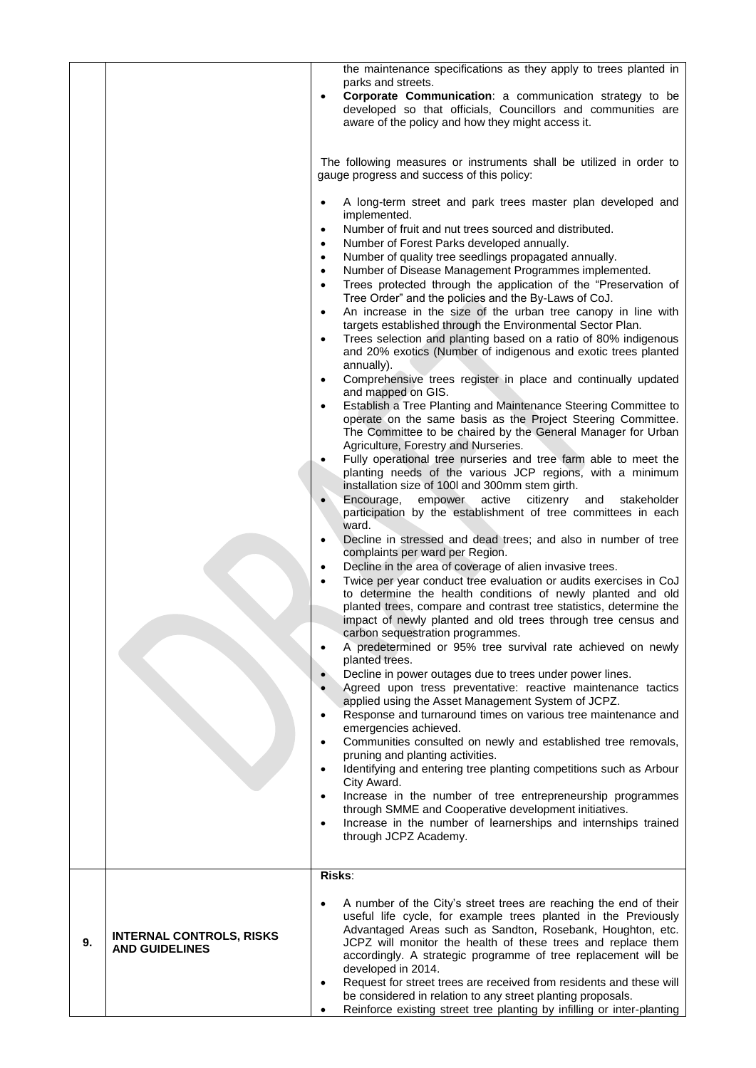|    |                                                          | the maintenance specifications as they apply to trees planted in<br>parks and streets.<br>Corporate Communication: a communication strategy to be<br>developed so that officials, Councillors and communities are<br>aware of the policy and how they might access it.                                                                                    |
|----|----------------------------------------------------------|-----------------------------------------------------------------------------------------------------------------------------------------------------------------------------------------------------------------------------------------------------------------------------------------------------------------------------------------------------------|
|    |                                                          | The following measures or instruments shall be utilized in order to<br>gauge progress and success of this policy:                                                                                                                                                                                                                                         |
|    |                                                          | A long-term street and park trees master plan developed and<br>implemented.                                                                                                                                                                                                                                                                               |
|    |                                                          | Number of fruit and nut trees sourced and distributed.<br>$\bullet$<br>Number of Forest Parks developed annually.<br>$\bullet$                                                                                                                                                                                                                            |
|    |                                                          | Number of quality tree seedlings propagated annually.<br>$\bullet$                                                                                                                                                                                                                                                                                        |
|    |                                                          | Number of Disease Management Programmes implemented.<br>Trees protected through the application of the "Preservation of<br>$\bullet$<br>Tree Order" and the policies and the By-Laws of CoJ.                                                                                                                                                              |
|    |                                                          | An increase in the size of the urban tree canopy in line with<br>$\bullet$<br>targets established through the Environmental Sector Plan.<br>Trees selection and planting based on a ratio of 80% indigenous                                                                                                                                               |
|    |                                                          | and 20% exotics (Number of indigenous and exotic trees planted<br>annually).<br>Comprehensive trees register in place and continually updated                                                                                                                                                                                                             |
|    |                                                          | and mapped on GIS.                                                                                                                                                                                                                                                                                                                                        |
|    |                                                          | Establish a Tree Planting and Maintenance Steering Committee to<br>operate on the same basis as the Project Steering Committee.<br>The Committee to be chaired by the General Manager for Urban<br>Agriculture, Forestry and Nurseries.                                                                                                                   |
|    |                                                          | Fully operational tree nurseries and tree farm able to meet the<br>planting needs of the various JCP regions, with a minimum                                                                                                                                                                                                                              |
|    |                                                          | installation size of 100 and 300mm stem girth.<br>Encourage,<br>empower<br>active<br>citizenry<br>and<br>stakeholder                                                                                                                                                                                                                                      |
|    |                                                          | participation by the establishment of tree committees in each<br>ward.                                                                                                                                                                                                                                                                                    |
|    |                                                          | Decline in stressed and dead trees; and also in number of tree<br>complaints per ward per Region.<br>Decline in the area of coverage of alien invasive trees.                                                                                                                                                                                             |
|    |                                                          | Twice per year conduct tree evaluation or audits exercises in CoJ<br>$\bullet$<br>to determine the health conditions of newly planted and old<br>planted trees, compare and contrast tree statistics, determine the<br>impact of newly planted and old trees through tree census and                                                                      |
|    |                                                          | carbon sequestration programmes.<br>A predetermined or 95% tree survival rate achieved on newly                                                                                                                                                                                                                                                           |
|    |                                                          | planted trees.<br>Decline in power outages due to trees under power lines.                                                                                                                                                                                                                                                                                |
|    |                                                          | Agreed upon tress preventative: reactive maintenance tactics<br>applied using the Asset Management System of JCPZ.<br>Response and turnaround times on various tree maintenance and                                                                                                                                                                       |
|    |                                                          | emergencies achieved.                                                                                                                                                                                                                                                                                                                                     |
|    |                                                          | Communities consulted on newly and established tree removals,<br>pruning and planting activities.                                                                                                                                                                                                                                                         |
|    |                                                          | Identifying and entering tree planting competitions such as Arbour<br>City Award.                                                                                                                                                                                                                                                                         |
|    |                                                          | Increase in the number of tree entrepreneurship programmes<br>through SMME and Cooperative development initiatives.                                                                                                                                                                                                                                       |
|    |                                                          | Increase in the number of learnerships and internships trained<br>through JCPZ Academy.                                                                                                                                                                                                                                                                   |
|    |                                                          | Risks:                                                                                                                                                                                                                                                                                                                                                    |
| 9. | <b>INTERNAL CONTROLS, RISKS</b><br><b>AND GUIDELINES</b> | A number of the City's street trees are reaching the end of their<br>useful life cycle, for example trees planted in the Previously<br>Advantaged Areas such as Sandton, Rosebank, Houghton, etc.<br>JCPZ will monitor the health of these trees and replace them<br>accordingly. A strategic programme of tree replacement will be<br>developed in 2014. |
|    |                                                          | Request for street trees are received from residents and these will<br>be considered in relation to any street planting proposals.<br>Reinforce existing street tree planting by infilling or inter-planting                                                                                                                                              |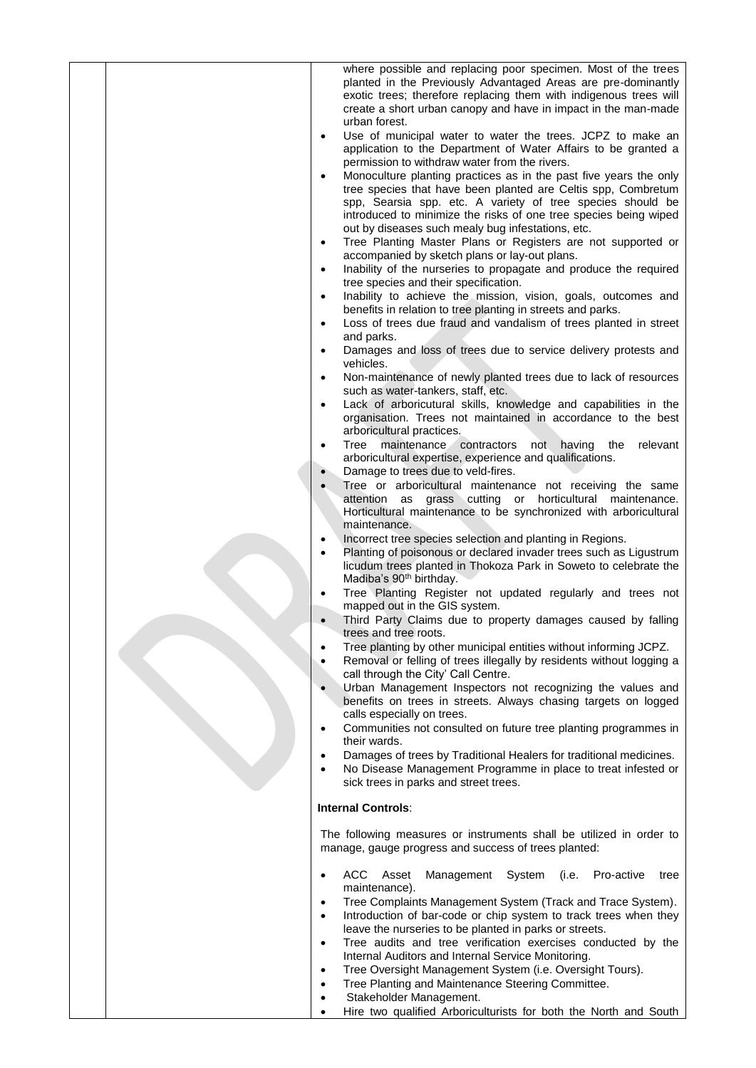|  | where possible and replacing poor specimen. Most of the trees<br>planted in the Previously Advantaged Areas are pre-dominantly<br>exotic trees; therefore replacing them with indigenous trees will |
|--|-----------------------------------------------------------------------------------------------------------------------------------------------------------------------------------------------------|
|  | create a short urban canopy and have in impact in the man-made<br>urban forest.                                                                                                                     |
|  | Use of municipal water to water the trees. JCPZ to make an<br>$\bullet$<br>application to the Department of Water Affairs to be granted a                                                           |
|  | permission to withdraw water from the rivers.                                                                                                                                                       |
|  | Monoculture planting practices as in the past five years the only<br>tree species that have been planted are Celtis spp, Combretum                                                                  |
|  | spp, Searsia spp. etc. A variety of tree species should be<br>introduced to minimize the risks of one tree species being wiped                                                                      |
|  | out by diseases such mealy bug infestations, etc.                                                                                                                                                   |
|  | Tree Planting Master Plans or Registers are not supported or<br>$\bullet$<br>accompanied by sketch plans or lay-out plans.                                                                          |
|  | Inability of the nurseries to propagate and produce the required<br>$\bullet$<br>tree species and their specification.                                                                              |
|  | Inability to achieve the mission, vision, goals, outcomes and<br>benefits in relation to tree planting in streets and parks.                                                                        |
|  | Loss of trees due fraud and vandalism of trees planted in street<br>$\bullet$                                                                                                                       |
|  | and parks.<br>Damages and loss of trees due to service delivery protests and                                                                                                                        |
|  | vehicles.<br>Non-maintenance of newly planted trees due to lack of resources<br>$\bullet$<br>such as water-tankers, staff, etc.                                                                     |
|  | Lack of arboricutural skills, knowledge and capabilities in the<br>organisation. Trees not maintained in accordance to the best<br>arboricultural practices.                                        |
|  | Tree maintenance<br>contractors<br>not having<br>relevant<br>the<br>arboricultural expertise, experience and qualifications.                                                                        |
|  | Damage to trees due to veld-fires.<br>Tree or arboricultural maintenance not receiving the same                                                                                                     |
|  | attention as grass cutting or horticultural maintenance.<br>Horticultural maintenance to be synchronized with arboricultural<br>maintenance.                                                        |
|  | Incorrect tree species selection and planting in Regions.<br>$\bullet$                                                                                                                              |
|  | Planting of poisonous or declared invader trees such as Ligustrum<br>$\bullet$<br>licudum trees planted in Thokoza Park in Soweto to celebrate the<br>Madiba's 90 <sup>th</sup> birthday.           |
|  | Tree Planting Register not updated regularly and trees not<br>mapped out in the GIS system.                                                                                                         |
|  | Third Party Claims due to property damages caused by falling<br>trees and tree roots.                                                                                                               |
|  | Tree planting by other municipal entities without informing JCPZ.<br>Removal or felling of trees illegally by residents without logging a<br>$\bullet$<br>call through the City' Call Centre.       |
|  | Urban Management Inspectors not recognizing the values and<br>benefits on trees in streets. Always chasing targets on logged                                                                        |
|  | calls especially on trees.<br>Communities not consulted on future tree planting programmes in<br>$\bullet$                                                                                          |
|  | their wards.<br>Damages of trees by Traditional Healers for traditional medicines.<br>$\bullet$                                                                                                     |
|  | No Disease Management Programme in place to treat infested or<br>sick trees in parks and street trees.                                                                                              |
|  | <b>Internal Controls:</b>                                                                                                                                                                           |
|  | The following measures or instruments shall be utilized in order to<br>manage, gauge progress and success of trees planted:                                                                         |
|  | ACC Asset<br>(i.e.<br>Pro-active<br>Management System<br>tree<br>maintenance).                                                                                                                      |
|  | Tree Complaints Management System (Track and Trace System).<br>$\bullet$                                                                                                                            |
|  | Introduction of bar-code or chip system to track trees when they<br>$\bullet$<br>leave the nurseries to be planted in parks or streets.                                                             |
|  | Tree audits and tree verification exercises conducted by the<br>$\bullet$<br>Internal Auditors and Internal Service Monitoring.                                                                     |
|  | Tree Oversight Management System (i.e. Oversight Tours).<br>$\bullet$<br>Tree Planting and Maintenance Steering Committee.<br>$\bullet$                                                             |
|  | Stakeholder Management.<br>$\bullet$                                                                                                                                                                |
|  | Hire two qualified Arboriculturists for both the North and South                                                                                                                                    |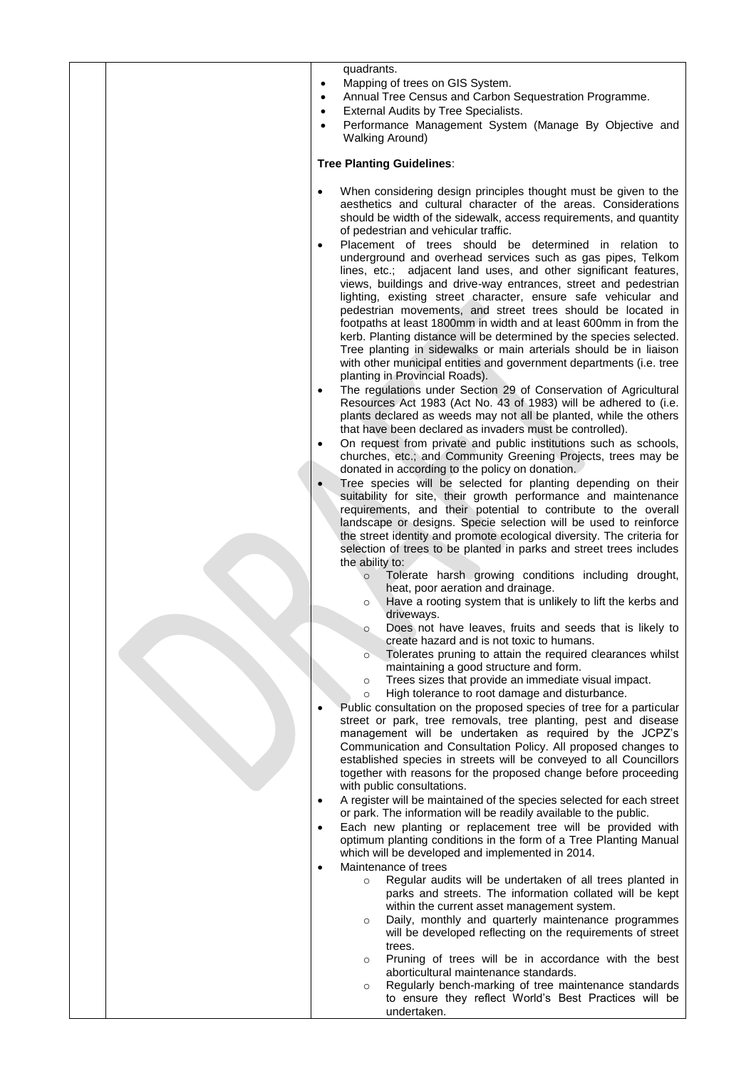| quadrants.                                                                                                                                                                                                                                                                                                                                                                                                                                                                                                                                                                                                                                                                                                                                                                                                                                                                                                                                                                                                                                                                                                                                                                                                                                                                                                                                                                                                                                                                                                                                                                                                                                                                                                                                                                                                                                                                                                                                                                                                                                                                                                                                                                                                                                                                                                                                                                                                                                                                                                                                                                                                                                                                                                                                                                                                                                                                                                                                                                                                                                                                                                                                                                                                                                                                                                                                                                                                              |
|-------------------------------------------------------------------------------------------------------------------------------------------------------------------------------------------------------------------------------------------------------------------------------------------------------------------------------------------------------------------------------------------------------------------------------------------------------------------------------------------------------------------------------------------------------------------------------------------------------------------------------------------------------------------------------------------------------------------------------------------------------------------------------------------------------------------------------------------------------------------------------------------------------------------------------------------------------------------------------------------------------------------------------------------------------------------------------------------------------------------------------------------------------------------------------------------------------------------------------------------------------------------------------------------------------------------------------------------------------------------------------------------------------------------------------------------------------------------------------------------------------------------------------------------------------------------------------------------------------------------------------------------------------------------------------------------------------------------------------------------------------------------------------------------------------------------------------------------------------------------------------------------------------------------------------------------------------------------------------------------------------------------------------------------------------------------------------------------------------------------------------------------------------------------------------------------------------------------------------------------------------------------------------------------------------------------------------------------------------------------------------------------------------------------------------------------------------------------------------------------------------------------------------------------------------------------------------------------------------------------------------------------------------------------------------------------------------------------------------------------------------------------------------------------------------------------------------------------------------------------------------------------------------------------------------------------------------------------------------------------------------------------------------------------------------------------------------------------------------------------------------------------------------------------------------------------------------------------------------------------------------------------------------------------------------------------------------------------------------------------------------------------------------------------------|
| Mapping of trees on GIS System.<br>$\bullet$<br>Annual Tree Census and Carbon Sequestration Programme.<br>$\bullet$<br>External Audits by Tree Specialists.<br>$\bullet$<br>Performance Management System (Manage By Objective and<br>$\bullet$<br><b>Walking Around)</b>                                                                                                                                                                                                                                                                                                                                                                                                                                                                                                                                                                                                                                                                                                                                                                                                                                                                                                                                                                                                                                                                                                                                                                                                                                                                                                                                                                                                                                                                                                                                                                                                                                                                                                                                                                                                                                                                                                                                                                                                                                                                                                                                                                                                                                                                                                                                                                                                                                                                                                                                                                                                                                                                                                                                                                                                                                                                                                                                                                                                                                                                                                                                               |
| <b>Tree Planting Guidelines:</b>                                                                                                                                                                                                                                                                                                                                                                                                                                                                                                                                                                                                                                                                                                                                                                                                                                                                                                                                                                                                                                                                                                                                                                                                                                                                                                                                                                                                                                                                                                                                                                                                                                                                                                                                                                                                                                                                                                                                                                                                                                                                                                                                                                                                                                                                                                                                                                                                                                                                                                                                                                                                                                                                                                                                                                                                                                                                                                                                                                                                                                                                                                                                                                                                                                                                                                                                                                                        |
| When considering design principles thought must be given to the<br>$\bullet$<br>aesthetics and cultural character of the areas. Considerations<br>should be width of the sidewalk, access requirements, and quantity<br>of pedestrian and vehicular traffic.<br>Placement of trees should be determined in relation to<br>$\bullet$<br>underground and overhead services such as gas pipes, Telkom<br>lines, etc.; adjacent land uses, and other significant features,<br>views, buildings and drive-way entrances, street and pedestrian<br>lighting, existing street character, ensure safe vehicular and<br>pedestrian movements, and street trees should be located in<br>footpaths at least 1800mm in width and at least 600mm in from the<br>kerb. Planting distance will be determined by the species selected.<br>Tree planting in sidewalks or main arterials should be in liaison<br>with other municipal entities and government departments (i.e. tree<br>planting in Provincial Roads).<br>The regulations under Section 29 of Conservation of Agricultural<br>$\bullet$<br>Resources Act 1983 (Act No. 43 of 1983) will be adhered to (i.e.<br>plants declared as weeds may not all be planted, while the others<br>that have been declared as invaders must be controlled).<br>On request from private and public institutions such as schools,<br>$\bullet$<br>churches, etc.; and Community Greening Projects, trees may be<br>donated in according to the policy on donation.<br>Tree species will be selected for planting depending on their<br>suitability for site, their growth performance and maintenance<br>requirements, and their potential to contribute to the overall<br>landscape or designs. Specie selection will be used to reinforce<br>the street identity and promote ecological diversity. The criteria for<br>selection of trees to be planted in parks and street trees includes<br>the ability to:<br>Tolerate harsh growing conditions including drought,<br>$\circ$<br>heat, poor aeration and drainage.<br>Have a rooting system that is unlikely to lift the kerbs and<br>$\circ$<br>driveways.<br>Does not have leaves, fruits and seeds that is likely to<br>create hazard and is not toxic to humans.<br>Tolerates pruning to attain the required clearances whilst<br>$\circ$<br>maintaining a good structure and form.<br>Trees sizes that provide an immediate visual impact.<br>$\circ$<br>High tolerance to root damage and disturbance.<br>$\circ$<br>Public consultation on the proposed species of tree for a particular<br>street or park, tree removals, tree planting, pest and disease<br>management will be undertaken as required by the JCPZ's<br>Communication and Consultation Policy. All proposed changes to<br>established species in streets will be conveyed to all Councillors<br>together with reasons for the proposed change before proceeding<br>with public consultations.<br>A register will be maintained of the species selected for each street<br>$\bullet$<br>or park. The information will be readily available to the public.<br>Each new planting or replacement tree will be provided with<br>optimum planting conditions in the form of a Tree Planting Manual<br>which will be developed and implemented in 2014.<br>Maintenance of trees<br>$\bullet$<br>Regular audits will be undertaken of all trees planted in<br>$\circ$ |
| parks and streets. The information collated will be kept<br>within the current asset management system.<br>Daily, monthly and quarterly maintenance programmes                                                                                                                                                                                                                                                                                                                                                                                                                                                                                                                                                                                                                                                                                                                                                                                                                                                                                                                                                                                                                                                                                                                                                                                                                                                                                                                                                                                                                                                                                                                                                                                                                                                                                                                                                                                                                                                                                                                                                                                                                                                                                                                                                                                                                                                                                                                                                                                                                                                                                                                                                                                                                                                                                                                                                                                                                                                                                                                                                                                                                                                                                                                                                                                                                                                          |
| $\circ$<br>will be developed reflecting on the requirements of street<br>trees.                                                                                                                                                                                                                                                                                                                                                                                                                                                                                                                                                                                                                                                                                                                                                                                                                                                                                                                                                                                                                                                                                                                                                                                                                                                                                                                                                                                                                                                                                                                                                                                                                                                                                                                                                                                                                                                                                                                                                                                                                                                                                                                                                                                                                                                                                                                                                                                                                                                                                                                                                                                                                                                                                                                                                                                                                                                                                                                                                                                                                                                                                                                                                                                                                                                                                                                                         |
| Pruning of trees will be in accordance with the best<br>$\circ$<br>aborticultural maintenance standards.<br>Regularly bench-marking of tree maintenance standards<br>$\circ$<br>to ensure they reflect World's Best Practices will be<br>undertaken.                                                                                                                                                                                                                                                                                                                                                                                                                                                                                                                                                                                                                                                                                                                                                                                                                                                                                                                                                                                                                                                                                                                                                                                                                                                                                                                                                                                                                                                                                                                                                                                                                                                                                                                                                                                                                                                                                                                                                                                                                                                                                                                                                                                                                                                                                                                                                                                                                                                                                                                                                                                                                                                                                                                                                                                                                                                                                                                                                                                                                                                                                                                                                                    |
|                                                                                                                                                                                                                                                                                                                                                                                                                                                                                                                                                                                                                                                                                                                                                                                                                                                                                                                                                                                                                                                                                                                                                                                                                                                                                                                                                                                                                                                                                                                                                                                                                                                                                                                                                                                                                                                                                                                                                                                                                                                                                                                                                                                                                                                                                                                                                                                                                                                                                                                                                                                                                                                                                                                                                                                                                                                                                                                                                                                                                                                                                                                                                                                                                                                                                                                                                                                                                         |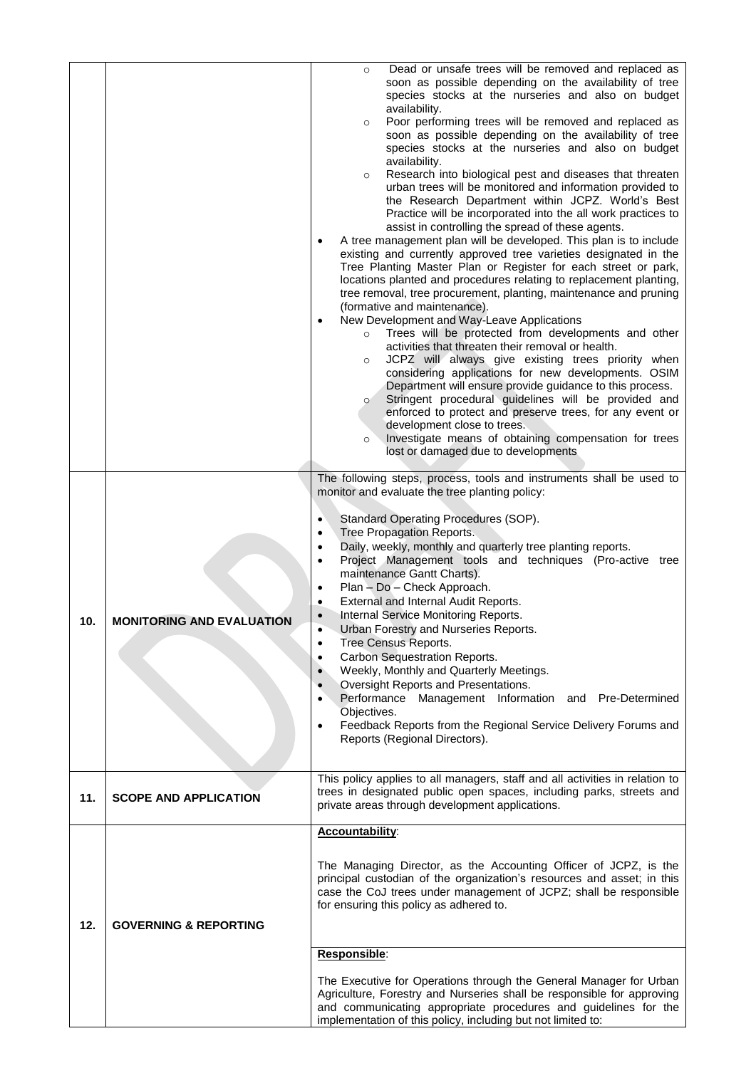|     |                                  | Dead or unsafe trees will be removed and replaced as<br>$\circ$<br>soon as possible depending on the availability of tree<br>species stocks at the nurseries and also on budget<br>availability.<br>Poor performing trees will be removed and replaced as<br>$\circ$<br>soon as possible depending on the availability of tree<br>species stocks at the nurseries and also on budget<br>availability.<br>Research into biological pest and diseases that threaten<br>$\circ$<br>urban trees will be monitored and information provided to<br>the Research Department within JCPZ. World's Best<br>Practice will be incorporated into the all work practices to<br>assist in controlling the spread of these agents.<br>A tree management plan will be developed. This plan is to include<br>existing and currently approved tree varieties designated in the<br>Tree Planting Master Plan or Register for each street or park,<br>locations planted and procedures relating to replacement planting,<br>tree removal, tree procurement, planting, maintenance and pruning<br>(formative and maintenance).<br>New Development and Way-Leave Applications<br>$\bullet$<br>Trees will be protected from developments and other<br>$\circ$<br>activities that threaten their removal or health.<br>JCPZ will always give existing trees priority when<br>$\circ$<br>considering applications for new developments. OSIM<br>Department will ensure provide guidance to this process.<br>Stringent procedural guidelines will be provided and<br>$\circ$<br>enforced to protect and preserve trees, for any event or<br>development close to trees.<br>Investigate means of obtaining compensation for trees<br>$\circ$<br>lost or damaged due to developments<br>The following steps, process, tools and instruments shall be used to<br>monitor and evaluate the tree planting policy:<br>Standard Operating Procedures (SOP).<br>$\bullet$<br>Tree Propagation Reports.<br>٠<br>Daily, weekly, monthly and quarterly tree planting reports.<br>٠<br>Project Management tools and techniques (Pro-active tree |
|-----|----------------------------------|-----------------------------------------------------------------------------------------------------------------------------------------------------------------------------------------------------------------------------------------------------------------------------------------------------------------------------------------------------------------------------------------------------------------------------------------------------------------------------------------------------------------------------------------------------------------------------------------------------------------------------------------------------------------------------------------------------------------------------------------------------------------------------------------------------------------------------------------------------------------------------------------------------------------------------------------------------------------------------------------------------------------------------------------------------------------------------------------------------------------------------------------------------------------------------------------------------------------------------------------------------------------------------------------------------------------------------------------------------------------------------------------------------------------------------------------------------------------------------------------------------------------------------------------------------------------------------------------------------------------------------------------------------------------------------------------------------------------------------------------------------------------------------------------------------------------------------------------------------------------------------------------------------------------------------------------------------------------------------------------------------------------------------------------------------------------------------------------------------------|
|     |                                  | maintenance Gantt Charts).<br>Plan - Do - Check Approach.<br>External and Internal Audit Reports.<br>٠                                                                                                                                                                                                                                                                                                                                                                                                                                                                                                                                                                                                                                                                                                                                                                                                                                                                                                                                                                                                                                                                                                                                                                                                                                                                                                                                                                                                                                                                                                                                                                                                                                                                                                                                                                                                                                                                                                                                                                                                    |
| 10. | <b>MONITORING AND EVALUATION</b> | Internal Service Monitoring Reports.<br>Urban Forestry and Nurseries Reports.                                                                                                                                                                                                                                                                                                                                                                                                                                                                                                                                                                                                                                                                                                                                                                                                                                                                                                                                                                                                                                                                                                                                                                                                                                                                                                                                                                                                                                                                                                                                                                                                                                                                                                                                                                                                                                                                                                                                                                                                                             |
|     |                                  | Tree Census Reports.<br>Carbon Sequestration Reports.<br>$\bullet$                                                                                                                                                                                                                                                                                                                                                                                                                                                                                                                                                                                                                                                                                                                                                                                                                                                                                                                                                                                                                                                                                                                                                                                                                                                                                                                                                                                                                                                                                                                                                                                                                                                                                                                                                                                                                                                                                                                                                                                                                                        |
|     |                                  | Weekly, Monthly and Quarterly Meetings.<br>$\bullet$<br>Oversight Reports and Presentations.<br>Performance Management Information and Pre-Determined                                                                                                                                                                                                                                                                                                                                                                                                                                                                                                                                                                                                                                                                                                                                                                                                                                                                                                                                                                                                                                                                                                                                                                                                                                                                                                                                                                                                                                                                                                                                                                                                                                                                                                                                                                                                                                                                                                                                                     |
|     |                                  | Objectives.<br>Feedback Reports from the Regional Service Delivery Forums and                                                                                                                                                                                                                                                                                                                                                                                                                                                                                                                                                                                                                                                                                                                                                                                                                                                                                                                                                                                                                                                                                                                                                                                                                                                                                                                                                                                                                                                                                                                                                                                                                                                                                                                                                                                                                                                                                                                                                                                                                             |
|     |                                  | Reports (Regional Directors).                                                                                                                                                                                                                                                                                                                                                                                                                                                                                                                                                                                                                                                                                                                                                                                                                                                                                                                                                                                                                                                                                                                                                                                                                                                                                                                                                                                                                                                                                                                                                                                                                                                                                                                                                                                                                                                                                                                                                                                                                                                                             |
| 11. | <b>SCOPE AND APPLICATION</b>     | This policy applies to all managers, staff and all activities in relation to<br>trees in designated public open spaces, including parks, streets and<br>private areas through development applications.                                                                                                                                                                                                                                                                                                                                                                                                                                                                                                                                                                                                                                                                                                                                                                                                                                                                                                                                                                                                                                                                                                                                                                                                                                                                                                                                                                                                                                                                                                                                                                                                                                                                                                                                                                                                                                                                                                   |
|     |                                  | Accountability:                                                                                                                                                                                                                                                                                                                                                                                                                                                                                                                                                                                                                                                                                                                                                                                                                                                                                                                                                                                                                                                                                                                                                                                                                                                                                                                                                                                                                                                                                                                                                                                                                                                                                                                                                                                                                                                                                                                                                                                                                                                                                           |
| 12. | <b>GOVERNING &amp; REPORTING</b> | The Managing Director, as the Accounting Officer of JCPZ, is the<br>principal custodian of the organization's resources and asset; in this<br>case the CoJ trees under management of JCPZ; shall be responsible<br>for ensuring this policy as adhered to.                                                                                                                                                                                                                                                                                                                                                                                                                                                                                                                                                                                                                                                                                                                                                                                                                                                                                                                                                                                                                                                                                                                                                                                                                                                                                                                                                                                                                                                                                                                                                                                                                                                                                                                                                                                                                                                |
|     |                                  | Responsible:                                                                                                                                                                                                                                                                                                                                                                                                                                                                                                                                                                                                                                                                                                                                                                                                                                                                                                                                                                                                                                                                                                                                                                                                                                                                                                                                                                                                                                                                                                                                                                                                                                                                                                                                                                                                                                                                                                                                                                                                                                                                                              |
|     |                                  | The Executive for Operations through the General Manager for Urban<br>Agriculture, Forestry and Nurseries shall be responsible for approving<br>and communicating appropriate procedures and guidelines for the<br>implementation of this policy, including but not limited to:                                                                                                                                                                                                                                                                                                                                                                                                                                                                                                                                                                                                                                                                                                                                                                                                                                                                                                                                                                                                                                                                                                                                                                                                                                                                                                                                                                                                                                                                                                                                                                                                                                                                                                                                                                                                                           |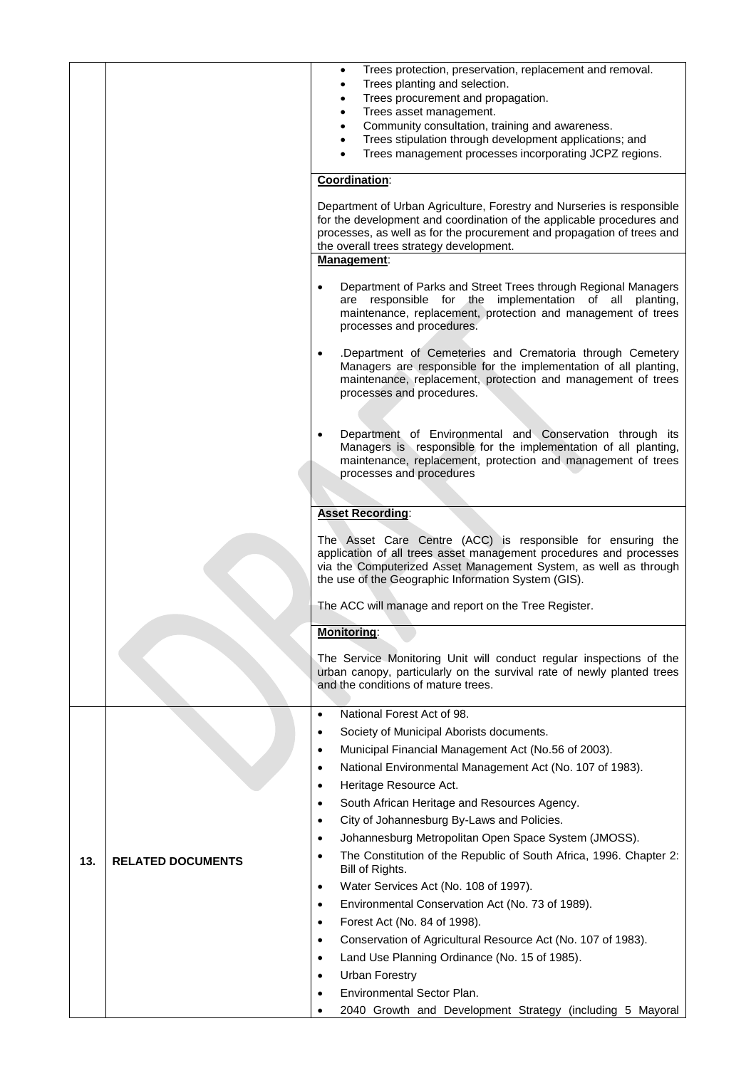|     |                          | Trees protection, preservation, replacement and removal.<br>$\bullet$                                                                           |
|-----|--------------------------|-------------------------------------------------------------------------------------------------------------------------------------------------|
|     |                          | Trees planting and selection.<br>$\bullet$                                                                                                      |
|     |                          | Trees procurement and propagation.<br>$\bullet$<br>Trees asset management.<br>$\bullet$                                                         |
|     |                          | Community consultation, training and awareness.<br>$\bullet$                                                                                    |
|     |                          | Trees stipulation through development applications; and<br>$\bullet$                                                                            |
|     |                          | Trees management processes incorporating JCPZ regions.                                                                                          |
|     |                          | Coordination:                                                                                                                                   |
|     |                          | Department of Urban Agriculture, Forestry and Nurseries is responsible                                                                          |
|     |                          | for the development and coordination of the applicable procedures and<br>processes, as well as for the procurement and propagation of trees and |
|     |                          | the overall trees strategy development.                                                                                                         |
|     |                          | Management:                                                                                                                                     |
|     |                          | Department of Parks and Street Trees through Regional Managers<br>$\bullet$                                                                     |
|     |                          | are responsible for the implementation of all planting,                                                                                         |
|     |                          | maintenance, replacement, protection and management of trees<br>processes and procedures.                                                       |
|     |                          | .Department of Cemeteries and Crematoria through Cemetery<br>$\bullet$                                                                          |
|     |                          | Managers are responsible for the implementation of all planting,                                                                                |
|     |                          | maintenance, replacement, protection and management of trees<br>processes and procedures.                                                       |
|     |                          |                                                                                                                                                 |
|     |                          | Department of Environmental and Conservation through its<br>$\bullet$                                                                           |
|     |                          | Managers is responsible for the implementation of all planting,                                                                                 |
|     |                          | maintenance, replacement, protection and management of trees                                                                                    |
|     |                          | processes and procedures                                                                                                                        |
|     |                          |                                                                                                                                                 |
|     |                          | <b>Asset Recording:</b>                                                                                                                         |
|     |                          | The Asset Care Centre (ACC) is responsible for ensuring the                                                                                     |
|     |                          | application of all trees asset management procedures and processes<br>via the Computerized Asset Management System, as well as through          |
|     |                          | the use of the Geographic Information System (GIS).                                                                                             |
|     |                          | The ACC will manage and report on the Tree Register.                                                                                            |
|     |                          | <b>Monitoring:</b>                                                                                                                              |
|     |                          |                                                                                                                                                 |
|     |                          | The Service Monitoring Unit will conduct regular inspections of the<br>urban canopy, particularly on the survival rate of newly planted trees   |
|     |                          | and the conditions of mature trees.                                                                                                             |
|     |                          |                                                                                                                                                 |
|     |                          | National Forest Act of 98.<br>$\bullet$                                                                                                         |
|     |                          | Society of Municipal Aborists documents.<br>$\bullet$<br>Municipal Financial Management Act (No.56 of 2003).                                    |
|     |                          | $\bullet$<br>National Environmental Management Act (No. 107 of 1983).<br>$\bullet$                                                              |
|     |                          | Heritage Resource Act.<br>$\bullet$                                                                                                             |
|     |                          | South African Heritage and Resources Agency.<br>$\bullet$                                                                                       |
|     |                          | City of Johannesburg By-Laws and Policies.<br>$\bullet$                                                                                         |
|     |                          | Johannesburg Metropolitan Open Space System (JMOSS).<br>$\bullet$                                                                               |
| 13. | <b>RELATED DOCUMENTS</b> | The Constitution of the Republic of South Africa, 1996. Chapter 2:<br>$\bullet$<br>Bill of Rights.                                              |
|     |                          | Water Services Act (No. 108 of 1997).<br>$\bullet$                                                                                              |
|     |                          | Environmental Conservation Act (No. 73 of 1989).<br>$\bullet$                                                                                   |
|     |                          | Forest Act (No. 84 of 1998).<br>$\bullet$                                                                                                       |
|     |                          | Conservation of Agricultural Resource Act (No. 107 of 1983).<br>$\bullet$                                                                       |
|     |                          | Land Use Planning Ordinance (No. 15 of 1985).<br>$\bullet$                                                                                      |
|     |                          | <b>Urban Forestry</b><br>$\bullet$                                                                                                              |
|     |                          | Environmental Sector Plan.<br>$\bullet$                                                                                                         |
|     |                          | 2040 Growth and Development Strategy (including 5 Mayoral                                                                                       |